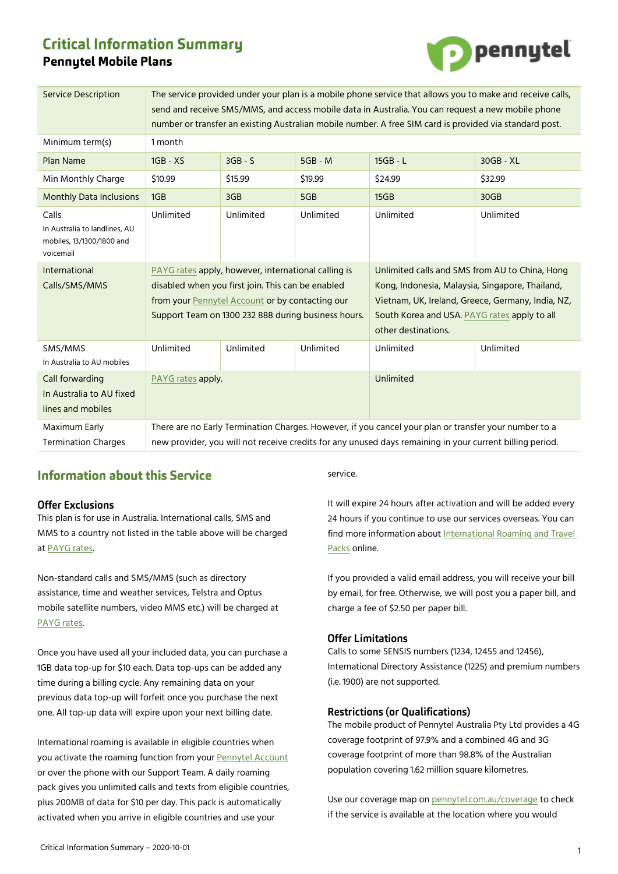# **Critical Information Summary Pennytel Mobile Plans**



| <b>Service Description</b>                                                       | The service provided under your plan is a mobile phone service that allows you to make and receive calls,<br>send and receive SMS/MMS, and access mobile data in Australia. You can request a new mobile phone<br>number or transfer an existing Australian mobile number. A free SIM card is provided via standard post. |           |           |                                                                                                                                                                                                                               |           |
|----------------------------------------------------------------------------------|---------------------------------------------------------------------------------------------------------------------------------------------------------------------------------------------------------------------------------------------------------------------------------------------------------------------------|-----------|-----------|-------------------------------------------------------------------------------------------------------------------------------------------------------------------------------------------------------------------------------|-----------|
| Minimum term(s)                                                                  | 1 month                                                                                                                                                                                                                                                                                                                   |           |           |                                                                                                                                                                                                                               |           |
| <b>Plan Name</b>                                                                 | $1GB - XS$                                                                                                                                                                                                                                                                                                                | $3GB - S$ | $5GB - M$ | $15GB - L$                                                                                                                                                                                                                    | 30GB - XL |
| Min Monthly Charge                                                               | \$10.99                                                                                                                                                                                                                                                                                                                   | \$15.99   | \$19.99   | \$24.99                                                                                                                                                                                                                       | \$32.99   |
| <b>Monthly Data Inclusions</b>                                                   | 1GB                                                                                                                                                                                                                                                                                                                       | 3GB       | 5GB       | 15GB                                                                                                                                                                                                                          | 30GB      |
| Calls<br>In Australia to landlines, AU<br>mobiles, 13/1300/1800 and<br>voicemail | Unlimited                                                                                                                                                                                                                                                                                                                 | Unlimited | Unlimited | Unlimited                                                                                                                                                                                                                     | Unlimited |
| International<br>Calls/SMS/MMS                                                   | PAYG rates apply, however, international calling is<br>disabled when you first join. This can be enabled<br>from your Pennytel Account or by contacting our<br>Support Team on 1300 232 888 during business hours.                                                                                                        |           |           | Unlimited calls and SMS from AU to China, Hong<br>Kong, Indonesia, Malaysia, Singapore, Thailand,<br>Vietnam, UK, Ireland, Greece, Germany, India, NZ,<br>South Korea and USA. PAYG rates apply to all<br>other destinations. |           |
| SMS/MMS<br>In Australia to AU mobiles                                            | Unlimited                                                                                                                                                                                                                                                                                                                 | Unlimited | Unlimited | Unlimited                                                                                                                                                                                                                     | Unlimited |
| Call forwarding<br>In Australia to AU fixed<br>lines and mobiles                 | PAYG rates apply.                                                                                                                                                                                                                                                                                                         |           |           | Unlimited                                                                                                                                                                                                                     |           |
| Maximum Early<br><b>Termination Charges</b>                                      | There are no Early Termination Charges. However, if you cancel your plan or transfer your number to a<br>new provider, you will not receive credits for any unused days remaining in your current billing period.                                                                                                         |           |           |                                                                                                                                                                                                                               |           |

# **Information about this Service**

# **Offer Exclusions**

This plan is for use in Australia. International calls, SMS and MMS to a country not listed in the table above will be charged at [PAYG rates.](https://mnf.app.box.com/v/pt-payg-rates) 

Non-standard calls and SMS/MMS (such as directory assistance, time and weather services, Telstra and Optus mobile satellite numbers, video MMS etc.) will be charged at [PAYG rates.](https://mnf.box.com/v/pt-payg-rates) 

Once you have used all your included data, you can purchase a 1GB data top-up for \$10 each. Data top-ups can be added any time during a billing cycle. Any remaining data on your previous data top-up will forfeit once you purchase the next one. All top-up data will expire upon your next billing date.

International roaming is available in eligible countries when you activate the roaming function from your [Pennytel Account](https://account.pennytel.com.au/my-services) or over the phone with our Support Team. A daily roaming pack gives you unlimited calls and texts from eligible countries, plus 200MB of data for \$10 per day. This pack is automatically activated when you arrive in eligible countries and use your

service.

It will expire 24 hours after activation and will be added every 24 hours if you continue to use our services overseas. You can find more information abou[t International Roaming and Travel](https://mnf.box.com/v/pt-roaming-pack)  [Packs](https://mnf.box.com/v/pt-roaming-pack) online.

If you provided a valid email address, you will receive your bill by email, for free. Otherwise, we will post you a paper bill, and charge a fee of \$2.50 per paper bill.

# **Offer Limitations**

Calls to some SENSIS numbers (1234, 12455 and 12456), International Directory Assistance (1225) and premium numbers (i.e. 1900) are not supported.

# **Restrictions (or Qualifications)**

The mobile product of Pennytel Australia Pty Ltd provides a 4G coverage footprint of 97.9% and a combined 4G and 3G coverage footprint of more than 98.8% of the Australian population covering 1.62 million square kilometres.

Use our coverage map on [pennytel.com.au/coverage](https://pennytel.com.au/coverage) to check if the service is available at the location where you would